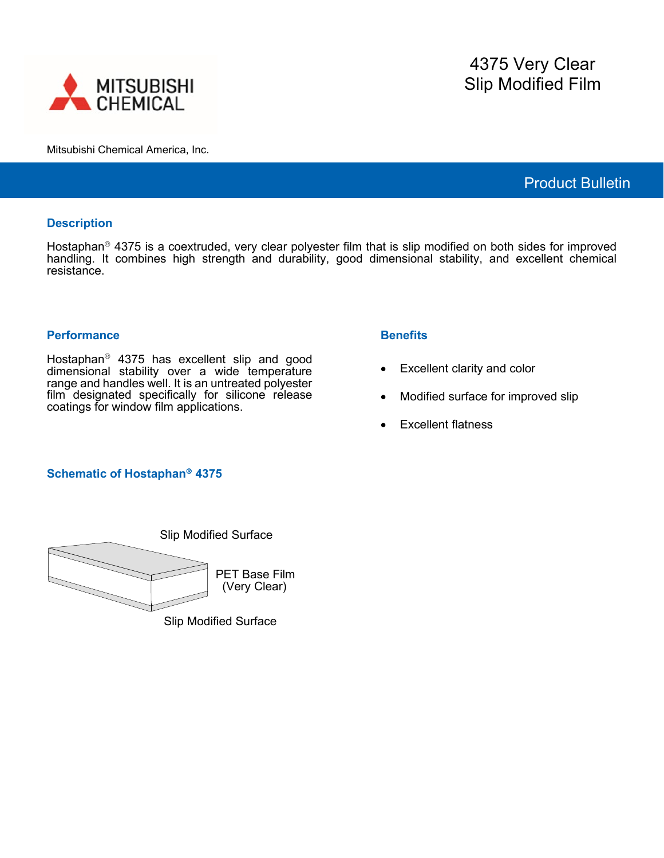

Mitsubishi Chemical America, Inc.

# Product Bulletin

### **Description**

Hostaphan<sup>®</sup> 4375 is a coextruded, very clear polyester film that is slip modified on both sides for improved handling. It combines high strength and durability, good dimensional stability, and excellent chemical resistance.

#### **Performance**

Hostaphan<sup>®</sup> 4375 has excellent slip and good dimensional stability over a wide temperature range and handles well. It is an untreated polyester film designated specifically for silicone release coatings for window film applications.

### **Benefits**

- Excellent clarity and color
- Modified surface for improved slip
- Excellent flatness

## **Schematic of Hostaphan<sup>®</sup> 4375**



Slip Modified Surface